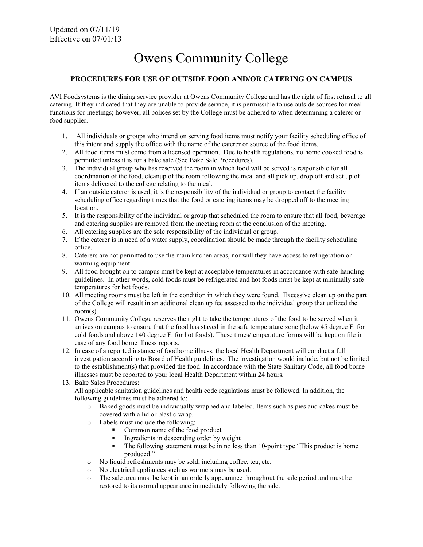# Owens Community College

#### PROCEDURES FOR USE OF OUTSIDE FOOD AND/OR CATERING ON CAMPUS

AVI Foodsystems is the dining service provider at Owens Community College and has the right of first refusal to all catering. If they indicated that they are unable to provide service, it is permissible to use outside sources for meal functions for meetings; however, all polices set by the College must be adhered to when determining a caterer or food supplier.

- 1. All individuals or groups who intend on serving food items must notify your facility scheduling office of this intent and supply the office with the name of the caterer or source of the food items.
- 2. All food items must come from a licensed operation. Due to health regulations, no home cooked food is permitted unless it is for a bake sale (See Bake Sale Procedures).
- 3. The individual group who has reserved the room in which food will be served is responsible for all coordination of the food, cleanup of the room following the meal and all pick up, drop off and set up of items delivered to the college relating to the meal.
- 4. If an outside caterer is used, it is the responsibility of the individual or group to contact the facility scheduling office regarding times that the food or catering items may be dropped off to the meeting location.
- 5. It is the responsibility of the individual or group that scheduled the room to ensure that all food, beverage and catering supplies are removed from the meeting room at the conclusion of the meeting.
- 6. All catering supplies are the sole responsibility of the individual or group.
- 7. If the caterer is in need of a water supply, coordination should be made through the facility scheduling office.
- 8. Caterers are not permitted to use the main kitchen areas, nor will they have access to refrigeration or warming equipment.
- 9. All food brought on to campus must be kept at acceptable temperatures in accordance with safe-handling guidelines. In other words, cold foods must be refrigerated and hot foods must be kept at minimally safe temperatures for hot foods.
- 10. All meeting rooms must be left in the condition in which they were found. Excessive clean up on the part of the College will result in an additional clean up fee assessed to the individual group that utilized the room(s).
- 11. Owens Community College reserves the right to take the temperatures of the food to be served when it arrives on campus to ensure that the food has stayed in the safe temperature zone (below 45 degree F. for cold foods and above 140 degree F. for hot foods). These times/temperature forms will be kept on file in case of any food borne illness reports.
- 12. In case of a reported instance of foodborne illness, the local Health Department will conduct a full investigation according to Board of Health guidelines. The investigation would include, but not be limited to the establishment(s) that provided the food. In accordance with the State Sanitary Code, all food borne illnesses must be reported to your local Health Department within 24 hours.
- 13. Bake Sales Procedures:

All applicable sanitation guidelines and health code regulations must be followed. In addition, the following guidelines must be adhered to:

- o Baked goods must be individually wrapped and labeled. Items such as pies and cakes must be covered with a lid or plastic wrap.
- o Labels must include the following:
	- Common name of the food product
	- Ingredients in descending order by weight
	- The following statement must be in no less than 10-point type "This product is home produced."
- o No liquid refreshments may be sold; including coffee, tea, etc.
- o No electrical appliances such as warmers may be used.
- o The sale area must be kept in an orderly appearance throughout the sale period and must be restored to its normal appearance immediately following the sale.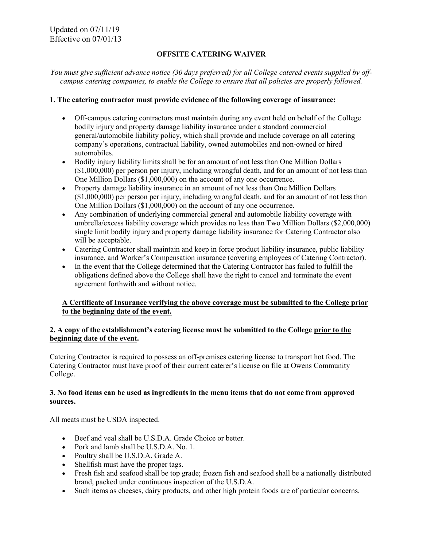# OFFSITE CATERING WAIVER

You must give sufficient advance notice (30 days preferred) for all College catered events supplied by offcampus catering companies, to enable the College to ensure that all policies are properly followed.

#### 1. The catering contractor must provide evidence of the following coverage of insurance:

- Off-campus catering contractors must maintain during any event held on behalf of the College bodily injury and property damage liability insurance under a standard commercial general/automobile liability policy, which shall provide and include coverage on all catering company's operations, contractual liability, owned automobiles and non-owned or hired automobiles.
- Bodily injury liability limits shall be for an amount of not less than One Million Dollars (\$1,000,000) per person per injury, including wrongful death, and for an amount of not less than One Million Dollars (\$1,000,000) on the account of any one occurrence.
- Property damage liability insurance in an amount of not less than One Million Dollars (\$1,000,000) per person per injury, including wrongful death, and for an amount of not less than One Million Dollars (\$1,000,000) on the account of any one occurrence.
- Any combination of underlying commercial general and automobile liability coverage with umbrella/excess liability coverage which provides no less than Two Million Dollars (\$2,000,000) single limit bodily injury and property damage liability insurance for Catering Contractor also will be acceptable.
- Catering Contractor shall maintain and keep in force product liability insurance, public liability insurance, and Worker's Compensation insurance (covering employees of Catering Contractor).
- In the event that the College determined that the Catering Contractor has failed to fulfill the obligations defined above the College shall have the right to cancel and terminate the event agreement forthwith and without notice.

# A Certificate of Insurance verifying the above coverage must be submitted to the College prior to the beginning date of the event.

# 2. A copy of the establishment's catering license must be submitted to the College prior to the beginning date of the event.

Catering Contractor is required to possess an off-premises catering license to transport hot food. The Catering Contractor must have proof of their current caterer's license on file at Owens Community College.

# 3. No food items can be used as ingredients in the menu items that do not come from approved sources.

All meats must be USDA inspected.

- Beef and veal shall be U.S.D.A. Grade Choice or better.
- Pork and lamb shall be U.S.D.A. No. 1.
- Poultry shall be U.S.D.A. Grade A.
- Shellfish must have the proper tags.
- Fresh fish and seafood shall be top grade; frozen fish and seafood shall be a nationally distributed brand, packed under continuous inspection of the U.S.D.A.
- Such items as cheeses, dairy products, and other high protein foods are of particular concerns.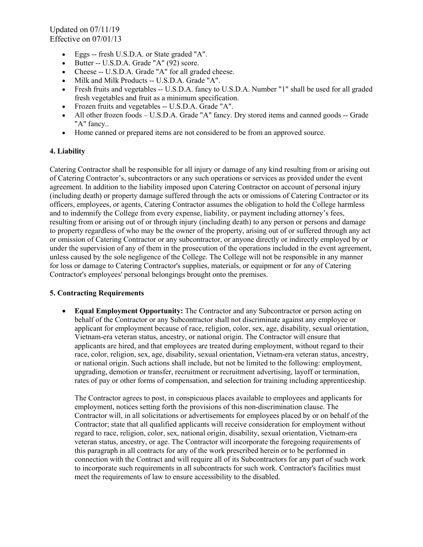Updated on 07/11/19 Effective on 07/01/13

- Eggs -- fresh U.S.D.A. or State graded "A".
- Butter -- U.S.D.A. Grade "A" (92) score.
- Cheese -- U.S.D.A. Grade "A" for all graded cheese.
- Milk and Milk Products -- U.S.D.A. Grade "A".
- Fresh fruits and vegetables -- U.S.D.A. fancy to U.S.D.A. Number "1" shall be used for all graded fresh vegetables and fruit as a minimum specification.
- Frozen fruits and vegetables -- U.S.D.A. Grade "A".
- All other frozen foods U.S.D.A. Grade "A" fancy. Dry stored items and canned goods -- Grade "A" fancy..
- Home canned or prepared items are not considered to be from an approved source.

# 4. Liability

Catering Contractor shall be responsible for all injury or damage of any kind resulting from or arising out of Catering Contractor's, subcontractors or any such operations or services as provided under the event agreement. In addition to the liability imposed upon Catering Contractor on account of personal injury (including death) or property damage suffered through the acts or omissions of Catering Contractor or its officers, employees, or agents, Catering Contractor assumes the obligation to hold the College harmless and to indemnify the College from every expense, liability, or payment including attorney's fees, resulting from or arising out of or through injury (including death) to any person or persons and damage to property regardless of who may be the owner of the property, arising out of or suffered through any act or omission of Catering Contractor or any subcontractor, or anyone directly or indirectly employed by or under the supervision of any of them in the prosecution of the operations included in the event agreement, unless caused by the sole negligence of the College. The College will not be responsible in any manner for loss or damage to Catering Contractor's supplies, materials, or equipment or for any of Catering Contractor's employees' personal belongings brought onto the premises.

# 5. Contracting Requirements

 Equal Employment Opportunity: The Contractor and any Subcontractor or person acting on behalf of the Contractor or any Subcontractor shall not discriminate against any employee or applicant for employment because of race, religion, color, sex, age, disability, sexual orientation, Vietnam-era veteran status, ancestry, or national origin. The Contractor will ensure that applicants are hired, and that employees are treated during employment, without regard to their race, color, religion, sex, age, disability, sexual orientation, Vietnam-era veteran status, ancestry, or national origin. Such actions shall include, but not be limited to the following: employment, upgrading, demotion or transfer, recruitment or recruitment advertising, layoff or termination, rates of pay or other forms of compensation, and selection for training including apprenticeship.

The Contractor agrees to post, in conspicuous places available to employees and applicants for employment, notices setting forth the provisions of this non-discrimination clause. The Contractor will, in all solicitations or advertisements for employees placed by or on behalf of the Contractor; state that all qualified applicants will receive consideration for employment without regard to race, religion, color, sex, national origin, disability, sexual orientation, Vietnam-era veteran status, ancestry, or age. The Contractor will incorporate the foregoing requirements of this paragraph in all contracts for any of the work prescribed herein or to be performed in connection with the Contract and will require all of its Subcontractors for any part of such work to incorporate such requirements in all subcontracts for such work. Contractor's facilities must meet the requirements of law to ensure accessibility to the disabled.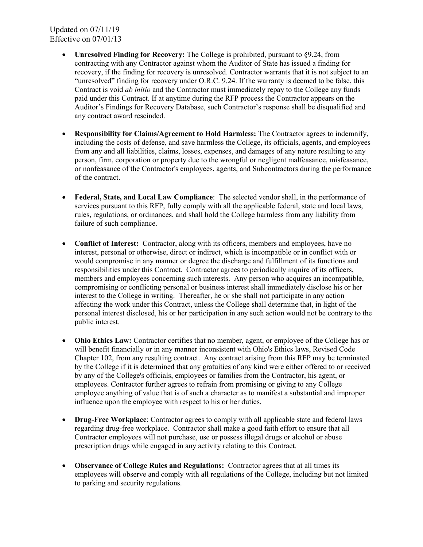Updated on 07/11/19 Effective on 07/01/13

- Unresolved Finding for Recovery: The College is prohibited, pursuant to §9.24, from contracting with any Contractor against whom the Auditor of State has issued a finding for recovery, if the finding for recovery is unresolved. Contractor warrants that it is not subject to an "unresolved" finding for recovery under O.R.C. 9.24. If the warranty is deemed to be false, this Contract is void *ab initio* and the Contractor must immediately repay to the College any funds paid under this Contract. If at anytime during the RFP process the Contractor appears on the Auditor's Findings for Recovery Database, such Contractor's response shall be disqualified and any contract award rescinded.
- Responsibility for Claims/Agreement to Hold Harmless: The Contractor agrees to indemnify, including the costs of defense, and save harmless the College, its officials, agents, and employees from any and all liabilities, claims, losses, expenses, and damages of any nature resulting to any person, firm, corporation or property due to the wrongful or negligent malfeasance, misfeasance, or nonfeasance of the Contractor's employees, agents, and Subcontractors during the performance of the contract.
- Federal, State, and Local Law Compliance: The selected vendor shall, in the performance of services pursuant to this RFP, fully comply with all the applicable federal, state and local laws, rules, regulations, or ordinances, and shall hold the College harmless from any liability from failure of such compliance.
- Conflict of Interest: Contractor, along with its officers, members and employees, have no interest, personal or otherwise, direct or indirect, which is incompatible or in conflict with or would compromise in any manner or degree the discharge and fulfillment of its functions and responsibilities under this Contract. Contractor agrees to periodically inquire of its officers, members and employees concerning such interests. Any person who acquires an incompatible, compromising or conflicting personal or business interest shall immediately disclose his or her interest to the College in writing. Thereafter, he or she shall not participate in any action affecting the work under this Contract, unless the College shall determine that, in light of the personal interest disclosed, his or her participation in any such action would not be contrary to the public interest.
- Ohio Ethics Law: Contractor certifies that no member, agent, or employee of the College has or will benefit financially or in any manner inconsistent with Ohio's Ethics laws, Revised Code Chapter 102, from any resulting contract. Any contract arising from this RFP may be terminated by the College if it is determined that any gratuities of any kind were either offered to or received by any of the College's officials, employees or families from the Contractor, his agent, or employees. Contractor further agrees to refrain from promising or giving to any College employee anything of value that is of such a character as to manifest a substantial and improper influence upon the employee with respect to his or her duties.
- Drug-Free Workplace: Contractor agrees to comply with all applicable state and federal laws regarding drug-free workplace. Contractor shall make a good faith effort to ensure that all Contractor employees will not purchase, use or possess illegal drugs or alcohol or abuse prescription drugs while engaged in any activity relating to this Contract.
- Observance of College Rules and Regulations: Contractor agrees that at all times its employees will observe and comply with all regulations of the College, including but not limited to parking and security regulations.